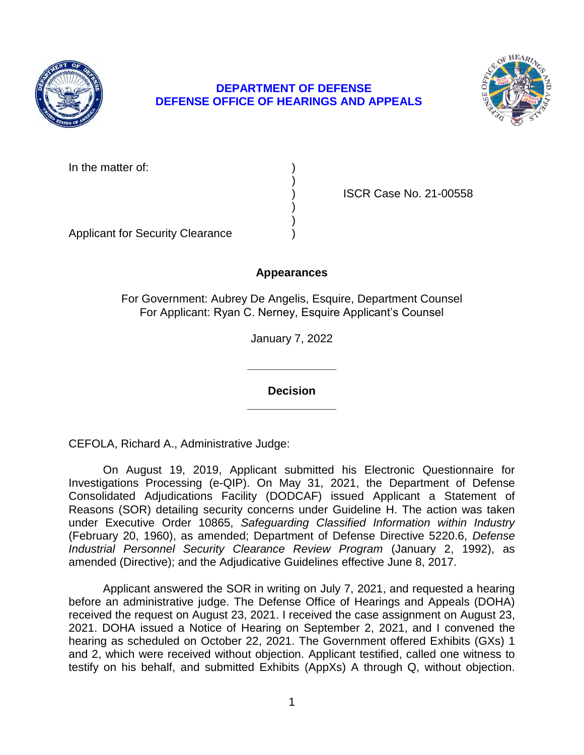

# **DEPARTMENT OF DEFENSE DEFENSE OFFICE OF HEARINGS AND APPEALS**



In the matter of:

) ISCR Case No. 21-00558

Applicant for Security Clearance )

# **Appearances**

)

) )

For Government: Aubrey De Angelis, Esquire, Department Counsel For Applicant: Ryan C. Nerney, Esquire Applicant's Counsel

January 7, 2022

**\_\_\_\_\_\_\_\_\_\_\_\_\_\_ Decision** 

**\_\_\_\_\_\_\_\_\_\_\_\_\_\_** 

CEFOLA, Richard A., Administrative Judge:

 On August 19, 2019, Applicant submitted his Electronic Questionnaire for Reasons (SOR) detailing security concerns under Guideline H. The action was taken  under Executive Order 10865, *Safeguarding Classified Information within Industry*  (February 20, 1960), as amended; Department of Defense Directive 5220.6, *Defense Industrial Personnel Security Clearance Review Program* (January 2, 1992), as amended (Directive); and the Adjudicative Guidelines effective June 8, 2017. Investigations Processing (e-QIP). On May 31, 2021, the Department of Defense Consolidated Adjudications Facility (DODCAF) issued Applicant a Statement of

amended (Directive); and the Adjudicative Guidelines effective June 8, 2017.<br>Applicant answered the SOR in writing on July 7, 2021, and requested a hearing before an administrative judge. The Defense Office of Hearings and Appeals (DOHA) received the request on August 23, 2021. I received the case assignment on August 23, 2021. DOHA issued a Notice of Hearing on September 2, 2021, and I convened the hearing as scheduled on October 22, 2021. The Government offered Exhibits (GXs) 1 and 2, which were received without objection. Applicant testified, called one witness to testify on his behalf, and submitted Exhibits (AppXs) A through Q, without objection.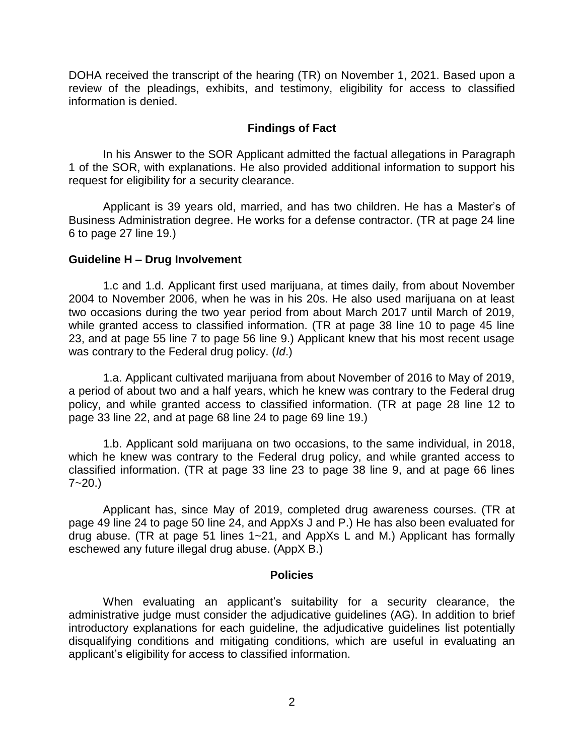DOHA received the transcript of the hearing (TR) on November 1, 2021. Based upon a review of the pleadings, exhibits, and testimony, eligibility for access to classified information is denied.

### **Findings of Fact**

 In his Answer to the SOR Applicant admitted the factual allegations in Paragraph 1 of the SOR, with explanations. He also provided additional information to support his request for eligibility for a security clearance.

request for eligibility for a security clearance.<br>Applicant is 39 years old, married, and has two children. He has a Master's of Business Administration degree. He works for a defense contractor. (TR at page 24 line 6 to page 27 line 19.)

### **Guideline H – Drug Involvement**

1.c and 1.d. Applicant first used marijuana, at times daily, from about November 2004 to November 2006, when he was in his 20s. He also used marijuana on at least two occasions during the two year period from about March 2017 until March of 2019, while granted access to classified information. (TR at page 38 line 10 to page 45 line 23, and at page 55 line 7 to page 56 line 9.) Applicant knew that his most recent usage was contrary to the Federal drug policy. (*Id*.)

1.a. Applicant cultivated marijuana from about November of 2016 to May of 2019, a period of about two and a half years, which he knew was contrary to the Federal drug policy, and while granted access to classified information. (TR at page 28 line 12 to page 33 line 22, and at page 68 line 24 to page 69 line 19.)

1.b. Applicant sold marijuana on two occasions, to the same individual, in 2018, which he knew was contrary to the Federal drug policy, and while granted access to classified information. (TR at page 33 line 23 to page 38 line 9, and at page 66 lines  $7 - 20.$ 

 Applicant has, since May of 2019, completed drug awareness courses. (TR at page 49 line 24 to page 50 line 24, and AppXs J and P.) He has also been evaluated for drug abuse. (TR at page 51 lines 1~21, and AppXs L and M.) Applicant has formally eschewed any future illegal drug abuse. (AppX B.)

#### **Policies**

 administrative judge must consider the adjudicative guidelines (AG). In addition to brief introductory explanations for each guideline, the adjudicative guidelines list potentially When evaluating an applicant's suitability for a security clearance, the disqualifying conditions and mitigating conditions, which are useful in evaluating an applicant's eligibility for access to classified information.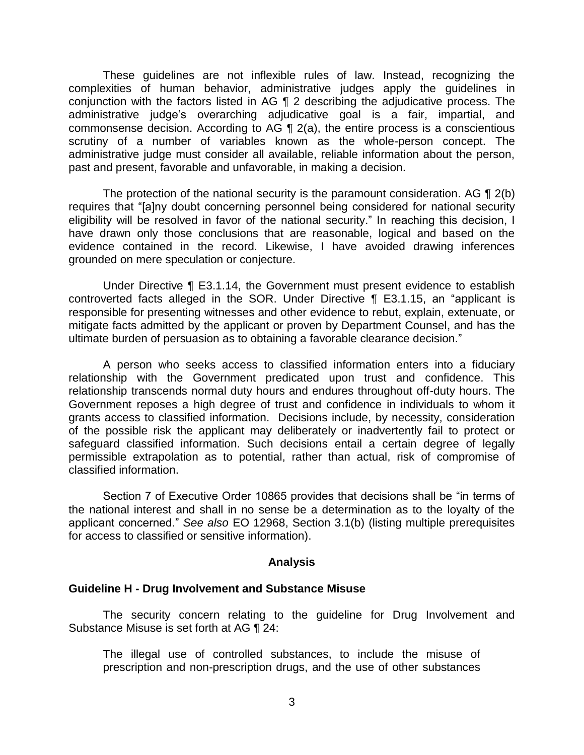These guidelines are not inflexible rules of law. Instead, recognizing the conjunction with the factors listed in AG ¶ 2 describing the adjudicative process. The commonsense decision. According to AG  $\P$  2(a), the entire process is a conscientious scrutiny of a number of variables known as the whole-person concept. The administrative judge must consider all available, reliable information about the person, complexities of human behavior, administrative judges apply the guidelines in administrative judge's overarching adjudicative goal is a fair, impartial, and past and present, favorable and unfavorable, in making a decision.

The protection of the national security is the paramount consideration. AG  $\P$  2(b) eligibility will be resolved in favor of the national security." In reaching this decision, I have drawn only those conclusions that are reasonable, logical and based on the evidence contained in the record. Likewise, I have avoided drawing inferences requires that "[a]ny doubt concerning personnel being considered for national security grounded on mere speculation or conjecture.

 Under Directive ¶ E3.1.14, the Government must present evidence to establish controverted facts alleged in the SOR. Under Directive ¶ E3.1.15, an "applicant is responsible for presenting witnesses and other evidence to rebut, explain, extenuate, or mitigate facts admitted by the applicant or proven by Department Counsel, and has the ultimate burden of persuasion as to obtaining a favorable clearance decision."

 A person who seeks access to classified information enters into a fiduciary relationship with the Government predicated upon trust and confidence. This relationship transcends normal duty hours and endures throughout off-duty hours. The Government reposes a high degree of trust and confidence in individuals to whom it of the possible risk the applicant may deliberately or inadvertently fail to protect or safeguard classified information. Such decisions entail a certain degree of legally permissible extrapolation as to potential, rather than actual, risk of compromise of grants access to classified information. Decisions include, by necessity, consideration classified information.

 Section 7 of Executive Order 10865 provides that decisions shall be "in terms of the national interest and shall in no sense be a determination as to the loyalty of the applicant concerned." *See also* EO 12968, Section 3.1(b) (listing multiple prerequisites for access to classified or sensitive information).

#### **Analysis**

## **Guideline H - Drug Involvement and Substance Misuse**

 The security concern relating to the guideline for Drug Involvement and Substance Misuse is set forth at AG ¶ 24:

 The illegal use of controlled substances, to include the misuse of prescription and non-prescription drugs, and the use of other substances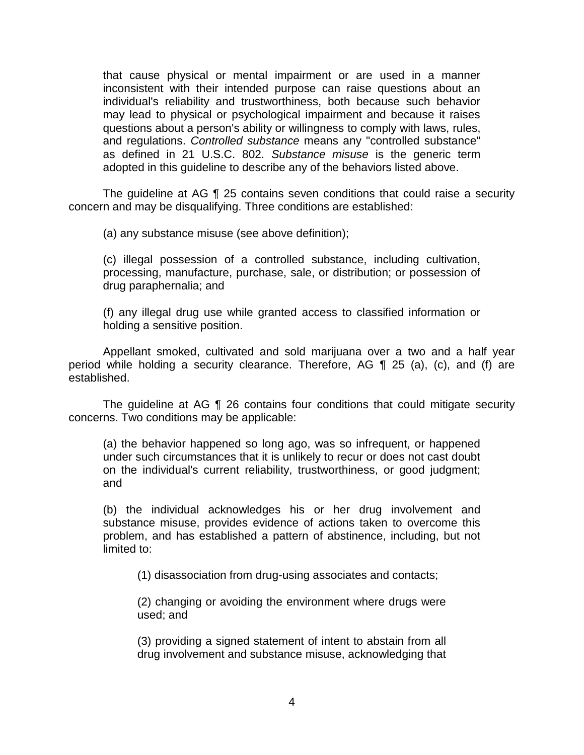that cause physical or mental impairment or are used in a manner inconsistent with their intended purpose can raise questions about an individual's reliability and trustworthiness, both because such behavior may lead to physical or psychological impairment and because it raises questions about a person's ability or willingness to comply with laws, rules,  and regulations. *Controlled substance* means any "controlled substance" as defined in 21 U.S.C. 802. *Substance misuse* is the generic term adopted in this guideline to describe any of the behaviors listed above.

 The guideline at AG ¶ 25 contains seven conditions that could raise a security concern and may be disqualifying. Three conditions are established:

(a) any substance misuse (see above definition);

(c) illegal possession of a controlled substance, including cultivation, processing, manufacture, purchase, sale, or distribution; or possession of drug paraphernalia; and

 (f) any illegal drug use while granted access to classified information or holding a sensitive position.

 Appellant smoked, cultivated and sold marijuana over a two and a half year period while holding a security clearance. Therefore, AG ¶ 25 (a), (c), and (f) are established.

 The guideline at AG ¶ 26 contains four conditions that could mitigate security concerns. Two conditions may be applicable:

(a) the behavior happened so long ago, was so infrequent, or happened under such circumstances that it is unlikely to recur or does not cast doubt on the individual's current reliability, trustworthiness, or good judgment; and

(b) the individual acknowledges his or her drug involvement and substance misuse, provides evidence of actions taken to overcome this problem, and has established a pattern of abstinence, including, but not limited to:

(1) disassociation from drug-using associates and contacts;

(2) changing or avoiding the environment where drugs were used; and

 (3) providing a signed statement of intent to abstain from all drug involvement and substance misuse, acknowledging that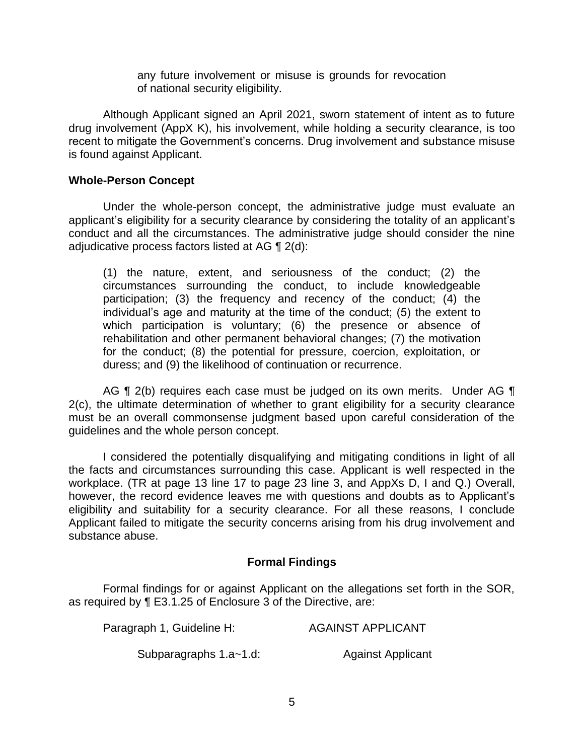any future involvement or misuse is grounds for revocation of national security eligibility.

 Although Applicant signed an April 2021, sworn statement of intent as to future drug involvement (AppX K), his involvement, while holding a security clearance, is too recent to mitigate the Government's concerns. Drug involvement and substance misuse is found against Applicant.

## **Whole-Person Concept**

 Under the whole-person concept, the administrative judge must evaluate an applicant's eligibility for a security clearance by considering the totality of an applicant's conduct and all the circumstances. The administrative judge should consider the nine adjudicative process factors listed at AG ¶ 2(d):

(1) the nature, extent, and seriousness of the conduct; (2) the circumstances surrounding the conduct, to include knowledgeable participation; (3) the frequency and recency of the conduct; (4) the individual's age and maturity at the time of the conduct; (5) the extent to which participation is voluntary; (6) the presence or absence of rehabilitation and other permanent behavioral changes; (7) the motivation for the conduct; (8) the potential for pressure, coercion, exploitation, or duress; and (9) the likelihood of continuation or recurrence.

AG ¶ 2(b) requires each case must be judged on its own merits. Under AG ¶ 2(c), the ultimate determination of whether to grant eligibility for a security clearance must be an overall commonsense judgment based upon careful consideration of the guidelines and the whole person concept.

 I considered the potentially disqualifying and mitigating conditions in light of all the facts and circumstances surrounding this case. Applicant is well respected in the workplace. (TR at page 13 line 17 to page 23 line 3, and AppXs D, I and Q.) Overall, however, the record evidence leaves me with questions and doubts as to Applicant's eligibility and suitability for a security clearance. For all these reasons, I conclude Applicant failed to mitigate the security concerns arising from his drug involvement and substance abuse.

# **Formal Findings**

 Formal findings for or against Applicant on the allegations set forth in the SOR, as required by ¶ E3.1.25 of Enclosure 3 of the Directive, are:

| Paragraph 1, Guideline H: | <b>AGAINST APPLICANT</b> |
|---------------------------|--------------------------|
| Subparagraphs 1.a~1.d:    | <b>Against Applicant</b> |